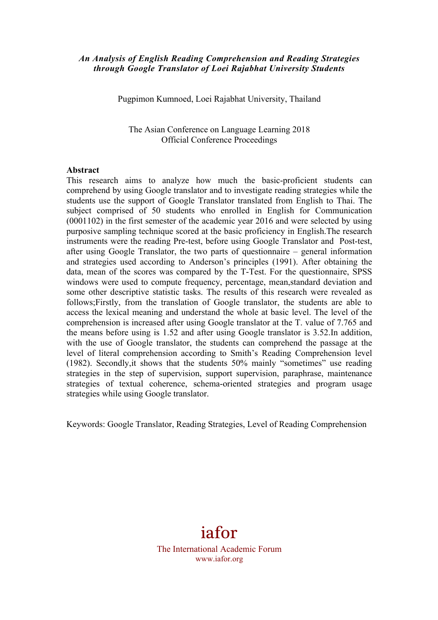## *An Analysis of English Reading Comprehension and Reading Strategies through Google Translator of Loei Rajabhat University Students*

Pugpimon Kumnoed, Loei Rajabhat University, Thailand

The Asian Conference on Language Learning 2018 Official Conference Proceedings

#### **Abstract**

This research aims to analyze how much the basic-proficient students can comprehend by using Google translator and to investigate reading strategies while the students use the support of Google Translator translated from English to Thai. The subject comprised of 50 students who enrolled in English for Communication (0001102) in the first semester of the academic year 2016 and were selected by using purposive sampling technique scored at the basic proficiency in English.The research instruments were the reading Pre-test, before using Google Translator and Post-test, after using Google Translator, the two parts of questionnaire – general information and strategies used according to Anderson's principles (1991). After obtaining the data, mean of the scores was compared by the T-Test. For the questionnaire, SPSS windows were used to compute frequency, percentage, mean,standard deviation and some other descriptive statistic tasks. The results of this research were revealed as follows;Firstly, from the translation of Google translator, the students are able to access the lexical meaning and understand the whole at basic level. The level of the comprehension is increased after using Google translator at the T. value of 7.765 and the means before using is 1.52 and after using Google translator is 3.52.In addition, with the use of Google translator, the students can comprehend the passage at the level of literal comprehension according to Smith's Reading Comprehension level (1982). Secondly,it shows that the students 50% mainly "sometimes" use reading strategies in the step of supervision, support supervision, paraphrase, maintenance strategies of textual coherence, schema-oriented strategies and program usage strategies while using Google translator.

Keywords: Google Translator, Reading Strategies, Level of Reading Comprehension

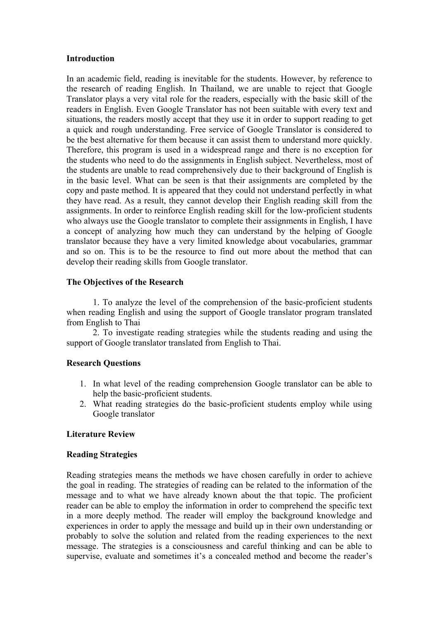### **Introduction**

In an academic field, reading is inevitable for the students. However, by reference to the research of reading English. In Thailand, we are unable to reject that Google Translator plays a very vital role for the readers, especially with the basic skill of the readers in English. Even Google Translator has not been suitable with every text and situations, the readers mostly accept that they use it in order to support reading to get a quick and rough understanding. Free service of Google Translator is considered to be the best alternative for them because it can assist them to understand more quickly. Therefore, this program is used in a widespread range and there is no exception for the students who need to do the assignments in English subject. Nevertheless, most of the students are unable to read comprehensively due to their background of English is in the basic level. What can be seen is that their assignments are completed by the copy and paste method. It is appeared that they could not understand perfectly in what they have read. As a result, they cannot develop their English reading skill from the assignments. In order to reinforce English reading skill for the low-proficient students who always use the Google translator to complete their assignments in English, I have a concept of analyzing how much they can understand by the helping of Google translator because they have a very limited knowledge about vocabularies, grammar and so on. This is to be the resource to find out more about the method that can develop their reading skills from Google translator.

## **The Objectives of the Research**

1. To analyze the level of the comprehension of the basic-proficient students when reading English and using the support of Google translator program translated from English to Thai

2. To investigate reading strategies while the students reading and using the support of Google translator translated from English to Thai.

### **Research Questions**

- 1. In what level of the reading comprehension Google translator can be able to help the basic-proficient students.
- 2. What reading strategies do the basic-proficient students employ while using Google translator

### **Literature Review**

#### **Reading Strategies**

Reading strategies means the methods we have chosen carefully in order to achieve the goal in reading. The strategies of reading can be related to the information of the message and to what we have already known about the that topic. The proficient reader can be able to employ the information in order to comprehend the specific text in a more deeply method. The reader will employ the background knowledge and experiences in order to apply the message and build up in their own understanding or probably to solve the solution and related from the reading experiences to the next message. The strategies is a consciousness and careful thinking and can be able to supervise, evaluate and sometimes it's a concealed method and become the reader's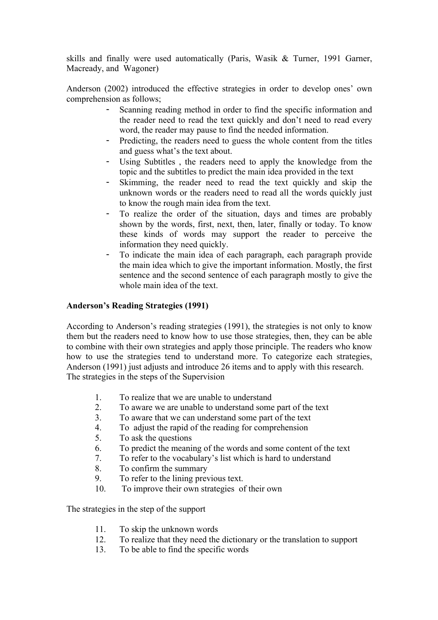skills and finally were used automatically (Paris, Wasik & Turner, 1991 Garner, Macready, and Wagoner)

Anderson (2002) introduced the effective strategies in order to develop ones' own comprehension as follows;

- Scanning reading method in order to find the specific information and the reader need to read the text quickly and don't need to read every word, the reader may pause to find the needed information.
- Predicting, the readers need to guess the whole content from the titles and guess what's the text about.
- Using Subtitles , the readers need to apply the knowledge from the topic and the subtitles to predict the main idea provided in the text
- Skimming, the reader need to read the text quickly and skip the unknown words or the readers need to read all the words quickly just to know the rough main idea from the text.
- To realize the order of the situation, days and times are probably shown by the words, first, next, then, later, finally or today. To know these kinds of words may support the reader to perceive the information they need quickly.
- To indicate the main idea of each paragraph, each paragraph provide the main idea which to give the important information. Mostly, the first sentence and the second sentence of each paragraph mostly to give the whole main idea of the text.

# **Anderson's Reading Strategies (1991)**

According to Anderson's reading strategies (1991), the strategies is not only to know them but the readers need to know how to use those strategies, then, they can be able to combine with their own strategies and apply those principle. The readers who know how to use the strategies tend to understand more. To categorize each strategies, Anderson (1991) just adjusts and introduce 26 items and to apply with this research. The strategies in the steps of the Supervision

- 1. To realize that we are unable to understand
- 2. To aware we are unable to understand some part of the text
- 3. To aware that we can understand some part of the text
- 4. To adjust the rapid of the reading for comprehension
- 5. To ask the questions
- 6. To predict the meaning of the words and some content of the text
- 7. To refer to the vocabulary's list which is hard to understand
- 8. To confirm the summary
- 9. To refer to the lining previous text.
- 10. To improve their own strategies of their own

The strategies in the step of the support

- 11. To skip the unknown words
- 12. To realize that they need the dictionary or the translation to support
- 13. To be able to find the specific words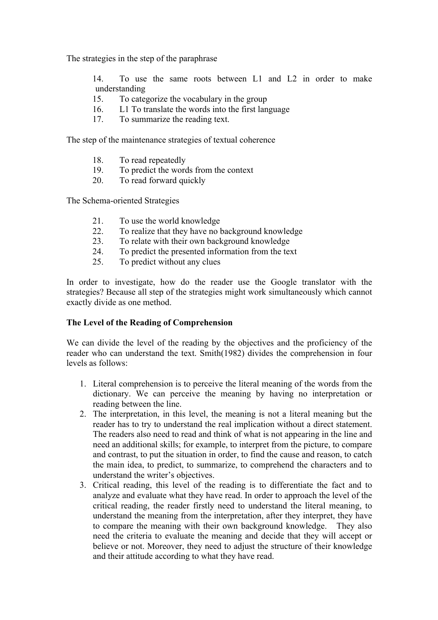The strategies in the step of the paraphrase

14. To use the same roots between L1 and L2 in order to make understanding

- 15. To categorize the vocabulary in the group
- 16. L1 To translate the words into the first language
- 17. To summarize the reading text.

The step of the maintenance strategies of textual coherence

- 18. To read repeatedly
- 19. To predict the words from the context
- 20. To read forward quickly

The Schema-oriented Strategies

- 21. To use the world knowledge
- 22. To realize that they have no background knowledge
- 23. To relate with their own background knowledge
- 24. To predict the presented information from the text
- 25. To predict without any clues

In order to investigate, how do the reader use the Google translator with the strategies? Because all step of the strategies might work simultaneously which cannot exactly divide as one method.

### **The Level of the Reading of Comprehension**

We can divide the level of the reading by the objectives and the proficiency of the reader who can understand the text. Smith(1982) divides the comprehension in four levels as follows:

- 1. Literal comprehension is to perceive the literal meaning of the words from the dictionary. We can perceive the meaning by having no interpretation or reading between the line.
- 2. The interpretation, in this level, the meaning is not a literal meaning but the reader has to try to understand the real implication without a direct statement. The readers also need to read and think of what is not appearing in the line and need an additional skills; for example, to interpret from the picture, to compare and contrast, to put the situation in order, to find the cause and reason, to catch the main idea, to predict, to summarize, to comprehend the characters and to understand the writer's objectives.
- 3. Critical reading, this level of the reading is to differentiate the fact and to analyze and evaluate what they have read. In order to approach the level of the critical reading, the reader firstly need to understand the literal meaning, to understand the meaning from the interpretation, after they interpret, they have to compare the meaning with their own background knowledge. They also need the criteria to evaluate the meaning and decide that they will accept or believe or not. Moreover, they need to adjust the structure of their knowledge and their attitude according to what they have read.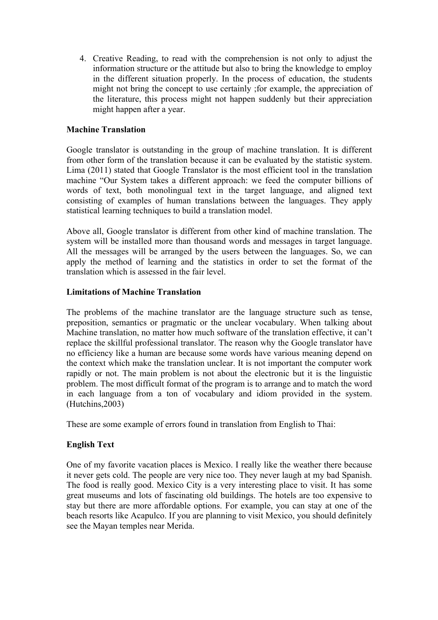4. Creative Reading, to read with the comprehension is not only to adjust the information structure or the attitude but also to bring the knowledge to employ in the different situation properly. In the process of education, the students might not bring the concept to use certainly ;for example, the appreciation of the literature, this process might not happen suddenly but their appreciation might happen after a year.

## **Machine Translation**

Google translator is outstanding in the group of machine translation. It is different from other form of the translation because it can be evaluated by the statistic system. Lima (2011) stated that Google Translator is the most efficient tool in the translation machine "Our System takes a different approach: we feed the computer billions of words of text, both monolingual text in the target language, and aligned text consisting of examples of human translations between the languages. They apply statistical learning techniques to build a translation model.

Above all, Google translator is different from other kind of machine translation. The system will be installed more than thousand words and messages in target language. All the messages will be arranged by the users between the languages. So, we can apply the method of learning and the statistics in order to set the format of the translation which is assessed in the fair level.

## **Limitations of Machine Translation**

The problems of the machine translator are the language structure such as tense, preposition, semantics or pragmatic or the unclear vocabulary. When talking about Machine translation, no matter how much software of the translation effective, it can't replace the skillful professional translator. The reason why the Google translator have no efficiency like a human are because some words have various meaning depend on the context which make the translation unclear. It is not important the computer work rapidly or not. The main problem is not about the electronic but it is the linguistic problem. The most difficult format of the program is to arrange and to match the word in each language from a ton of vocabulary and idiom provided in the system. (Hutchins,2003)

These are some example of errors found in translation from English to Thai:

# **English Text**

One of my favorite vacation places is Mexico. I really like the weather there because it never gets cold. The people are very nice too. They never laugh at my bad Spanish. The food is really good. Mexico City is a very interesting place to visit. It has some great museums and lots of fascinating old buildings. The hotels are too expensive to stay but there are more affordable options. For example, you can stay at one of the beach resorts like Acapulco. If you are planning to visit Mexico, you should definitely see the Mayan temples near Merida.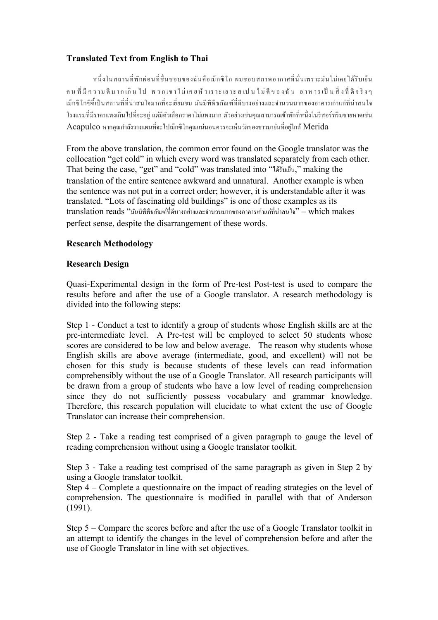# **Translated Text from English to Thai**

หนึ่งในสถานที่พักผ่อนที่ชื่นชอบของฉันคือเม็กซิโก ผมชอบสภาพอากาศที่นั่นเพราะมันไม่เคยได้รับเย็น คนที่มีความดีมากเกิน ไป พวกเขาไม่เคยหัวเราะเยาะส เปน ไม่ดีของฉัน อาหารเป็นสิ่งที่ดีจริงๆ เม็กซิโกซิตี้เป็นสถานที่ที่น่าสนใจมากที่จะเยี่ยมชม มันมีพิพิธภัณฑ์ที่ดีบางอย่างและจำนวนมากของอาคารเก่าแก่ที่น่าสนใจ โรงแรมที่มีราคาแพงเกินไปที่จะอยู่ แต่มีตัวเลือกราคาไม่แพงมาก ตัวอย่างเช่นคุณสามารถเข้าพักที่หนึ่งในรีสอร์ทริมชายหาดเช่น  $\rm\,Acapulco$  หากคุณกำลังวางแผนที่จะไปเม็กซิโกคุณแน่นอนควรจะเห็นวัดของชาวมายันที่อยู่ใกล้  $\rm\,Merida$ 

From the above translation, the common error found on the Google translator was the collocation "get cold" in which every word was translated separately from each other. That being the case, "get" and "cold" was translated into "ได้รับเย็น," making the translation of the entire sentence awkward and unnatural. Another example is when the sentence was not put in a correct order; however, it is understandable after it was translated. "Lots of fascinating old buildings" is one of those examples as its translation reads "มันมีพิพิธภัณฑ์ที่ดีบางอย่างและจำนวนมากของอาคารเก่าแก่ที่น่าสนใจ" – which makes perfect sense, despite the disarrangement of these words.

# **Research Methodology**

# **Research Design**

Quasi-Experimental design in the form of Pre-test Post-test is used to compare the results before and after the use of a Google translator. A research methodology is divided into the following steps:

Step 1 - Conduct a test to identify a group of students whose English skills are at the pre-intermediate level. A Pre-test will be employed to select 50 students whose scores are considered to be low and below average. The reason why students whose English skills are above average (intermediate, good, and excellent) will not be chosen for this study is because students of these levels can read information comprehensibly without the use of a Google Translator. All research participants will be drawn from a group of students who have a low level of reading comprehension since they do not sufficiently possess vocabulary and grammar knowledge. Therefore, this research population will elucidate to what extent the use of Google Translator can increase their comprehension.

Step 2 - Take a reading test comprised of a given paragraph to gauge the level of reading comprehension without using a Google translator toolkit.

Step 3 - Take a reading test comprised of the same paragraph as given in Step 2 by using a Google translator toolkit.

Step 4 – Complete a questionnaire on the impact of reading strategies on the level of comprehension. The questionnaire is modified in parallel with that of Anderson (1991).

Step 5 – Compare the scores before and after the use of a Google Translator toolkit in an attempt to identify the changes in the level of comprehension before and after the use of Google Translator in line with set objectives.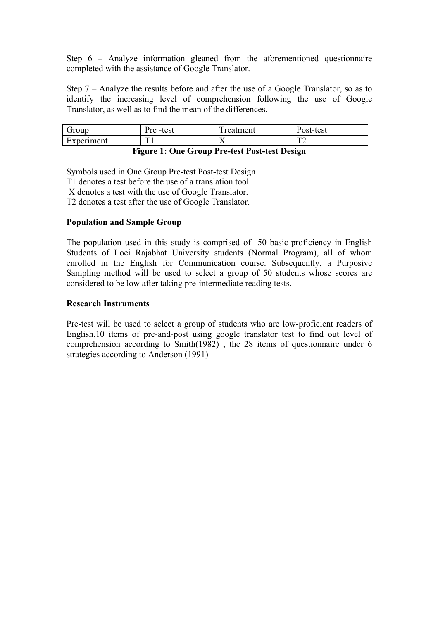Step 6 – Analyze information gleaned from the aforementioned questionnaire completed with the assistance of Google Translator.

Step 7 – Analyze the results before and after the use of a Google Translator, so as to identify the increasing level of comprehension following the use of Google Translator, as well as to find the mean of the differences.

| $\overline{\phantom{0}}$<br>Group                                                                                                                                                                                                                                                                                                                                                 | D<br>test<br>$\bm{\nu r}$ $\bm{\alpha}$<br>- 11<br>ັ | m<br>reatment | `ost-test    |
|-----------------------------------------------------------------------------------------------------------------------------------------------------------------------------------------------------------------------------------------------------------------------------------------------------------------------------------------------------------------------------------|------------------------------------------------------|---------------|--------------|
| $\mathbf$ $\mathbf$ $\mathbf$ $\mathbf$ $\mathbf$ $\mathbf$ $\mathbf$ $\mathbf$ $\mathbf$ $\mathbf$ $\mathbf$ $\mathbf$ $\mathbf$ $\mathbf$ $\mathbf$ $\mathbf$ $\mathbf$ $\mathbf$ $\mathbf$ $\mathbf$ $\mathbf$ $\mathbf$ $\mathbf$ $\mathbf$ $\mathbf$ $\mathbf$ $\mathbf$ $\mathbf$ $\mathbf$ $\mathbf$ $\mathbf$ $\mathbf$ $\mathbf$ $\mathbf$ $\mathbf$ $\mathbf$ $\mathbf$ | m                                                    | ∡⊾            | $\mathbf{m}$ |
| Experiment                                                                                                                                                                                                                                                                                                                                                                        | л.                                                   |               | + ∠          |

# **Figure 1: One Group Pre-test Post-test Design**

Symbols used in One Group Pre-test Post-test Design

T1 denotes a test before the use of a translation tool.

X denotes a test with the use of Google Translator.

T2 denotes a test after the use of Google Translator.

### **Population and Sample Group**

The population used in this study is comprised of 50 basic-proficiency in English Students of Loei Rajabhat University students (Normal Program), all of whom enrolled in the English for Communication course. Subsequently, a Purposive Sampling method will be used to select a group of 50 students whose scores are considered to be low after taking pre-intermediate reading tests.

### **Research Instruments**

Pre-test will be used to select a group of students who are low-proficient readers of English,10 items of pre-and-post using google translator test to find out level of comprehension according to Smith(1982) , the 28 items of questionnaire under 6 strategies according to Anderson (1991)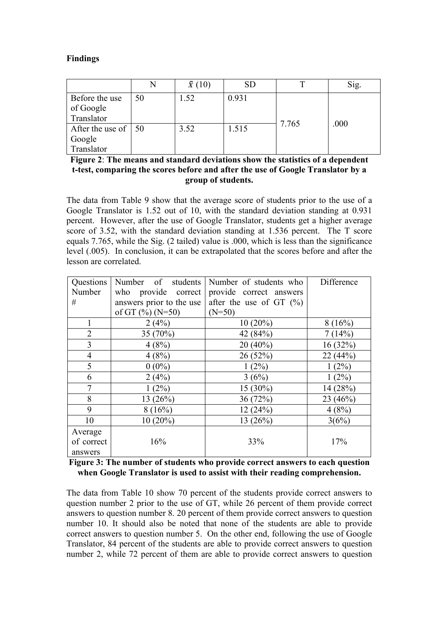## **Findings**

|                                     | N  | $\bar{x}(10)$ | <b>SD</b> |       | Sig. |
|-------------------------------------|----|---------------|-----------|-------|------|
| Before the use                      | 50 | 1.52          | 0.931     |       |      |
| of Google                           |    |               |           |       |      |
| Translator                          |    |               |           | 7.765 | .000 |
| After the use of $\vert 50 \rangle$ |    | 3.52          | 1.515     |       |      |
| Google                              |    |               |           |       |      |
| Translator                          |    |               |           |       |      |

| Figure 2: The means and standard deviations show the statistics of a dependent  |
|---------------------------------------------------------------------------------|
| t-test, comparing the scores before and after the use of Google Translator by a |
| group of students.                                                              |

The data from Table 9 show that the average score of students prior to the use of a Google Translator is 1.52 out of 10, with the standard deviation standing at 0.931 percent. However, after the use of Google Translator, students get a higher average score of 3.52, with the standard deviation standing at 1.536 percent. The T score equals 7.765, while the Sig. (2 tailed) value is .000, which is less than the significance level (.005). In conclusion, it can be extrapolated that the scores before and after the lesson are correlated.

| Questions             | Number of students       | Number of students who     | Difference |
|-----------------------|--------------------------|----------------------------|------------|
| Number                | who provide correct      | provide correct answers    |            |
| #                     | answers prior to the use | after the use of GT $(\%)$ |            |
|                       | of GT $(\%)(N=50)$       | $(N=50)$                   |            |
|                       | 2(4%)                    | $10(20\%)$                 | 8(16%)     |
| $\overline{2}$        | 35 $(70\%)$              | 42 (84%)                   | 7(14%)     |
| 3                     | 4(8%)                    | $20(40\%)$                 | 16(32%)    |
| $\overline{4}$        | 4(8%)                    | 26(52%)                    | 22(44%)    |
| 5                     | $0(0\%)$                 | $1(2\%)$                   | $1(2\%)$   |
| 6                     | 2(4%)                    | 3(6%)                      | $1(2\%)$   |
| 7                     | $1(2\%)$                 | $15(30\%)$                 | 14(28%)    |
| 8                     | 13(26%)                  | 36(72%)                    | 23(46%)    |
| 9                     | 8(16%)                   | 12(24%)                    | 4(8%)      |
| 10                    | $10(20\%)$               | 13(26%)                    | 3(6%)      |
| Average<br>of correct | 16%                      | 33%                        | 17%        |
| answers               |                          |                            |            |

**Figure 3: The number of students who provide correct answers to each question when Google Translator is used to assist with their reading comprehension.**

The data from Table 10 show 70 percent of the students provide correct answers to question number 2 prior to the use of GT, while 26 percent of them provide correct answers to question number 8. 20 percent of them provide correct answers to question number 10. It should also be noted that none of the students are able to provide correct answers to question number 5. On the other end, following the use of Google Translator, 84 percent of the students are able to provide correct answers to question number 2, while 72 percent of them are able to provide correct answers to question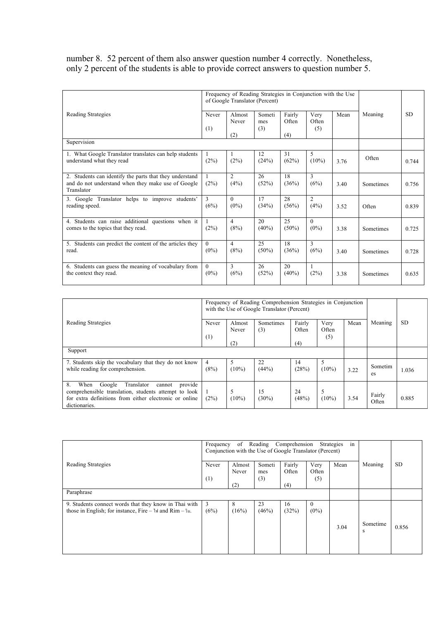number 8. 52 percent of them also answer question number 4 correctly. Nonetheless, only 2 percent of the students is able to provide correct answers to question number 5.

|                                                                                                                             |                     | Frequency of Reading Strategies in Conjunction with the Use<br>of Google Translator (Percent) |                      |                        |                        |      |           |           |
|-----------------------------------------------------------------------------------------------------------------------------|---------------------|-----------------------------------------------------------------------------------------------|----------------------|------------------------|------------------------|------|-----------|-----------|
| Reading Strategies                                                                                                          | Never<br>(1)        | Almost<br>Never<br>(2)                                                                        | Someti<br>mes<br>(3) | Fairly<br>Often<br>(4) | Very<br>Often<br>(5)   | Mean | Meaning   | <b>SD</b> |
| Supervision                                                                                                                 |                     |                                                                                               |                      |                        |                        |      |           |           |
| 1. What Google Translator translates can help students<br>understand what they read                                         | (2%)                | (2%)                                                                                          | 12<br>(24%)          | 31<br>(62%)            | 5<br>$(10\%)$          | 3.76 | Often     | 0.744     |
| 2. Students can identify the parts that they understand<br>and do not understand when they make use of Google<br>Translator | (2%)                | 2<br>(4%)                                                                                     | 26<br>(52%)          | 18<br>(36%)            | 3<br>(6%)              | 3.40 | Sometimes | 0.756     |
| 3. Google Translator helps to improve students'<br>reading speed.                                                           | 3<br>(6%)           | $\Omega$<br>$(0\%)$                                                                           | 17<br>(34%)          | 28<br>(56%)            | $\overline{c}$<br>(4%) | 3.52 | Often     | 0.839     |
| 4. Students can raise additional questions when it<br>comes to the topics that they read.                                   | (2%)                | 4<br>(8%)                                                                                     | 20<br>$(40\%)$       | 25<br>$(50\%)$         | $\Omega$<br>$(0\%)$    | 3.38 | Sometimes | 0.725     |
| 5. Students can predict the content of the articles they<br>read.                                                           | $\Omega$<br>$(0\%)$ | $\overline{4}$<br>(8%)                                                                        | 25<br>$(50\%)$       | 18<br>(36%)            | 3<br>(6%)              | 3.40 | Sometimes | 0.728     |
| 6. Students can guess the meaning of vocabulary from<br>the context they read.                                              | $\theta$<br>$(0\%)$ | 3<br>(6%)                                                                                     | 26<br>(52%)          | 20<br>$(40\%)$         | 1<br>(2%)              | 3.38 | Sometimes | 0.635     |

|                                                                                                                                                                                            |              | Frequency of Reading Comprehension Strategies in Conjunction<br>with the Use of Google Translator (Percent) |                  |                        |                      |      |                 |           |
|--------------------------------------------------------------------------------------------------------------------------------------------------------------------------------------------|--------------|-------------------------------------------------------------------------------------------------------------|------------------|------------------------|----------------------|------|-----------------|-----------|
| Reading Strategies                                                                                                                                                                         | Never<br>(1) | Almost<br>Never<br>(2)                                                                                      | Sometimes<br>(3) | Fairly<br>Often<br>(4) | Very<br>Often<br>(5) | Mean | Meaning         | <b>SD</b> |
| Support                                                                                                                                                                                    |              |                                                                                                             |                  |                        |                      |      |                 |           |
| 7. Students skip the vocabulary that they do not know<br>while reading for comprehension.                                                                                                  | 4<br>(8%)    | 5<br>$(10\%)$                                                                                               | 22<br>(44%)      | 14<br>(28%)            | 5<br>$(10\%)$        | 3.22 | Sometim<br>es   | 1.036     |
| 8.<br>Translator<br>When<br>Google<br>provide<br>cannot<br>comprehensible translation, students attempt to look<br>for extra definitions from either electronic or online<br>dictionaries. | (2%)         | 5<br>$(10\%)$                                                                                               | 15<br>$(30\%)$   | 24<br>(48%)            | 5<br>$(10\%)$        | 3.54 | Fairly<br>Often | 0.885     |

|                                                                                                                                                              | Frequency    | of Reading Comprehension<br>Conjunction with the Use of Google Translator (Percent) |                      |                        |                      |      |               |           |
|--------------------------------------------------------------------------------------------------------------------------------------------------------------|--------------|-------------------------------------------------------------------------------------|----------------------|------------------------|----------------------|------|---------------|-----------|
| Reading Strategies                                                                                                                                           | Never<br>(1) | Almost<br>Never<br>(2)                                                              | Someti<br>mes<br>(3) | Fairly<br>Often<br>(4) | Very<br>Often<br>(5) | Mean | Meaning       | <b>SD</b> |
| Paraphrase                                                                                                                                                   |              |                                                                                     |                      |                        |                      |      |               |           |
| 9. Students connect words that they know in Thai with<br>those in English; for instance, Fire $-$ ' $\mathbb{N}$ and Rim $-\hat{\mathfrak{z}}\mathfrak{u}$ . | 3<br>(6%)    | 8<br>(16%)                                                                          | 23<br>(46%)          | 16<br>(32%)            | $\theta$<br>$(0\%)$  | 3.04 | Sometime<br>S | 0.856     |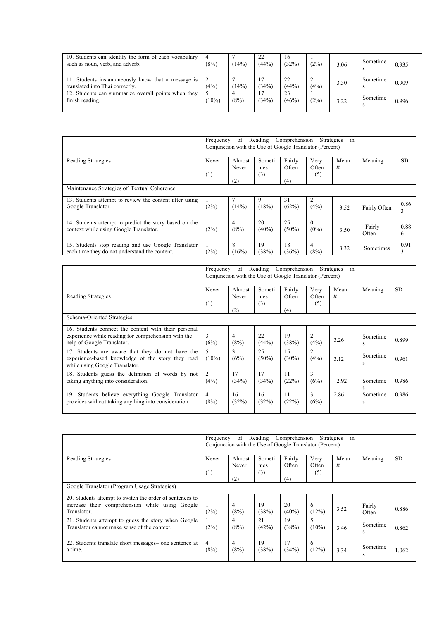| 10. Students can identify the form of each vocabulary<br>such as noun, verb, and adverb. | (8%)  | 14%  | 22<br>(44%) | 16<br>(32%) | (2%  | 3.06 | Sometime | 0.935 |
|------------------------------------------------------------------------------------------|-------|------|-------------|-------------|------|------|----------|-------|
| 11. Students instantaneously know that a message is<br>translated into Thai correctly.   | (4%)  | 14%  | (34%)       | 22<br>(44%) | (4%) | 3.30 | Sometime | 0.909 |
| 12. Students can summarize overall points when they<br>finish reading.                   | (10%) | (8%) | (34%)       | 23<br>(46%) | (2%  | 3.22 | Sometime | 0.996 |

|                                                                                                      | Frequency | Reading Comprehension<br>of<br>Conjunction with the Use of Google Translator (Percent) |                |                 |                     |            |                  |           |  |
|------------------------------------------------------------------------------------------------------|-----------|----------------------------------------------------------------------------------------|----------------|-----------------|---------------------|------------|------------------|-----------|--|
| Reading Strategies                                                                                   | Never     | Almost<br>Never                                                                        | Someti<br>mes  | Fairly<br>Often | Very<br>Often       | Mean<br>A. | Meaning          | <b>SD</b> |  |
|                                                                                                      | (1)       | (2)                                                                                    | (3)            | (4)             | (5)                 |            |                  |           |  |
| Maintenance Strategies of Textual Coherence                                                          |           |                                                                                        |                |                 |                     |            |                  |           |  |
| 13. Students attempt to review the content after using<br>Google Translator.                         | (2%)      | (14%)                                                                                  | 9<br>(18%)     | 31<br>(62%)     | 2<br>(4%)           | 3.52       | Fairly Often     | 0.86<br>3 |  |
| 14. Students attempt to predict the story based on the<br>context while using Google Translator.     | (2%)      | 4<br>(8%)                                                                              | 20<br>$(40\%)$ | 25<br>$(50\%)$  | $\theta$<br>$(0\%)$ | 3.50       | Fairly<br>Often  | 0.88<br>6 |  |
| 15. Students stop reading and use Google Translator<br>each time they do not understand the content. | (2%)      | 8<br>(16%)                                                                             | 19<br>(38%)    | 18<br>(36%)     | 4<br>(8%)           | 3.32       | <b>Sometimes</b> | 0.91      |  |

|                                                                                                                                           | Frequency              | Reading Comprehension<br>of<br>Conjunction with the Use of Google Translator (Percent) | Strategies<br>in     |                 |                      |           |               |           |
|-------------------------------------------------------------------------------------------------------------------------------------------|------------------------|----------------------------------------------------------------------------------------|----------------------|-----------------|----------------------|-----------|---------------|-----------|
| Reading Strategies                                                                                                                        | Never<br>(1)           | Almost<br>Never                                                                        | Someti<br>mes<br>(3) | Fairly<br>Often | Very<br>Often<br>(5) | Mean<br>× | Meaning       | <b>SD</b> |
| Schema-Oriented Strategies                                                                                                                |                        | (2)                                                                                    |                      | (4)             |                      |           |               |           |
| 16. Students connect the content with their personal<br>experience while reading for comprehension with the<br>help of Google Translator. | 3<br>(6%)              | 4<br>(8%)                                                                              | 22<br>(44%)          | 19<br>(38%)     | 2<br>(4%)            | 3.26      | Sometime<br>S | 0.899     |
| 17. Students are aware that they do not have the<br>experience-based knowledge of the story they read<br>while using Google Translator.   | 5.<br>$(10\%)$         | 3<br>(6%)                                                                              | 25<br>$(50\%)$       | 15<br>$(30\%)$  | 2<br>(4%)            | 3.12      | Sometime<br>S | 0.961     |
| 18. Students guess the definition of words by not<br>taking anything into consideration.                                                  | 2<br>(4%)              | 17<br>(34%)                                                                            | 17<br>(34%)          | 11<br>(22%)     | 3<br>(6%)            | 2.92      | Sometime<br>S | 0.986     |
| 19. Students believe everything Google Translator<br>provides without taking anything into consideration.                                 | $\overline{4}$<br>(8%) | 16<br>(32%)                                                                            | 16<br>(32%)          | 11<br>(22%)     | 3<br>(6%)            | 2.86      | Sometime<br>S | 0.986     |

|                                                                                                                            | Frequency              | of Reading Comprehension<br>Conjunction with the Use of Google Translator (Percent) | Strategies<br>in |                 |               |                                  |                 |       |  |
|----------------------------------------------------------------------------------------------------------------------------|------------------------|-------------------------------------------------------------------------------------|------------------|-----------------|---------------|----------------------------------|-----------------|-------|--|
| Reading Strategies                                                                                                         | Never                  | Almost<br>Never                                                                     | Someti<br>mes    | Fairly<br>Often | Very<br>Often | Mean<br>$\mathcal{X}_\mathrm{c}$ | Meaning         | SD.   |  |
|                                                                                                                            | (1)                    | (2)                                                                                 | (3)              | (4)             | (5)           |                                  |                 |       |  |
| Google Translator (Program Usage Strategies)                                                                               |                        |                                                                                     |                  |                 |               |                                  |                 |       |  |
| 20. Students attempt to switch the order of sentences to<br>increase their comprehension while using Google<br>Translator. | (2%)                   | $\overline{4}$<br>(8%)                                                              | 19<br>(38%)      | 20<br>$(40\%)$  | 6<br>(12%)    | 3.52                             | Fairly<br>Often | 0.886 |  |
| 21. Students attempt to guess the story when Google<br>Translator cannot make sense of the context.                        | (2%)                   | 4<br>(8%)                                                                           | 21<br>(42%)      | 19<br>(38%)     | 5<br>$(10\%)$ | 3.46                             | Sometime<br>S   | 0.862 |  |
| 22. Students translate short messages- one sentence at<br>a time.                                                          | $\overline{4}$<br>(8%) | 4<br>(8%)                                                                           | 19<br>(38%)      | 17<br>(34%)     | 6<br>(12%)    | 3.34                             | Sometime<br>S   | 1.062 |  |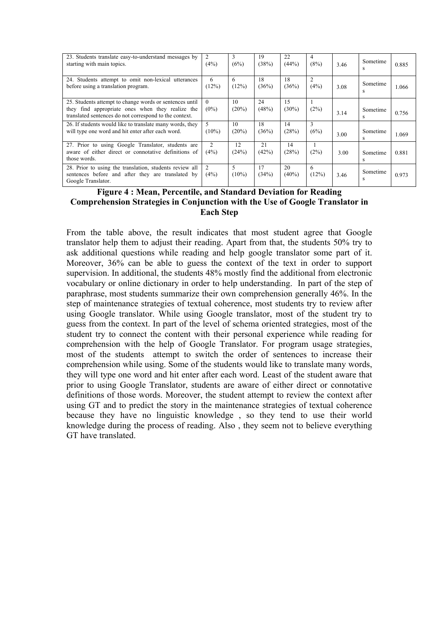| 23. Students translate easy-to-understand messages by<br>starting with main topics.                                                                                   | 2<br>(4%)           | 3<br>(6%)     | 19<br>(38%) | 22<br>(44%)    | $\overline{4}$<br>(8%)  | 3.46 | Sometime      | 0.885 |
|-----------------------------------------------------------------------------------------------------------------------------------------------------------------------|---------------------|---------------|-------------|----------------|-------------------------|------|---------------|-------|
| 24. Students attempt to omit non-lexical utterances<br>before using a translation program.                                                                            | 6<br>(12%)          | 6<br>(12%)    | 18<br>(36%) | 18<br>(36%)    | $\overline{2}$<br>(4% ) | 3.08 | Sometime<br>S | 1.066 |
| 25. Students attempt to change words or sentences until<br>they find appropriate ones when they realize the<br>translated sentences do not correspond to the context. | $\Omega$<br>$(0\%)$ | 10<br>(20%)   | 24<br>(48%) | 15<br>$(30\%)$ | (2%)                    | 3.14 | Sometime<br>s | 0.756 |
| 26. If students would like to translate many words, they<br>will type one word and hit enter after each word.                                                         | 5<br>$(10\%)$       | 10<br>(20%)   | 18<br>(36%) | 14<br>(28%)    | 3<br>(6%)               | 3.00 | Sometime      | 1.069 |
| 27. Prior to using Google Translator, students are<br>aware of either direct or connotative definitions of<br>those words.                                            | 2<br>(4%)           | 12<br>(24%)   | 21<br>(42%) | 14<br>(28%)    | (2%)                    | 3.00 | Sometime<br>s | 0.881 |
| 28. Prior to using the translation, students review all<br>sentences before and after they are translated by<br>Google Translator.                                    | 2<br>(4%)           | 5<br>$(10\%)$ | 17<br>(34%) | 20<br>$(40\%)$ | 6<br>(12%)              | 3.46 | Sometime<br>S | 0.973 |

## **Figure 4 : Mean, Percentile, and Standard Deviation for Reading Comprehension Strategies in Conjunction with the Use of Google Translator in Each Step**

From the table above, the result indicates that most student agree that Google translator help them to adjust their reading. Apart from that, the students 50% try to ask additional questions while reading and help google translator some part of it. Moreover,  $36\%$  can be able to guess the context of the text in order to support supervision. In additional, the students 48% mostly find the additional from electronic vocabulary or online dictionary in order to help understanding. In part of the step of paraphrase, most students summarize their own comprehension generally 46%. In the step of maintenance strategies of textual coherence, most students try to review after using Google translator. While using Google translator, most of the student try to guess from the context. In part of the level of schema oriented strategies, most of the student try to connect the content with their personal experience while reading for comprehension with the help of Google Translator. For program usage strategies, most of the students attempt to switch the order of sentences to increase their comprehension while using. Some of the students would like to translate many words, they will type one word and hit enter after each word. Least of the student aware that prior to using Google Translator, students are aware of either direct or connotative definitions of those words. Moreover, the student attempt to review the context after using GT and to predict the story in the maintenance strategies of textual coherence because they have no linguistic knowledge , so they tend to use their world knowledge during the process of reading. Also , they seem not to believe everything GT have translated.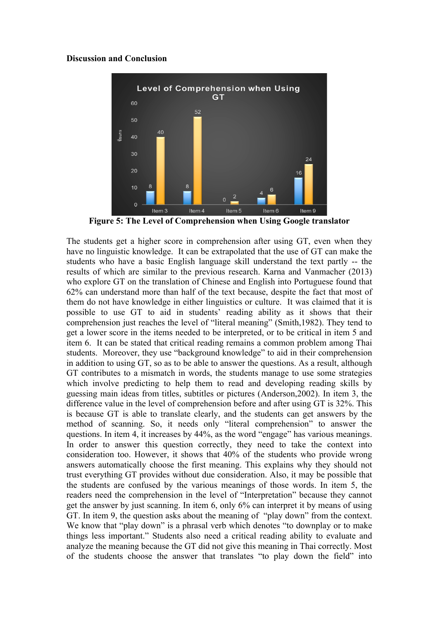#### **Discussion and Conclusion**



**Figure 5: The Level of Comprehension when Using Google translator**

The students get a higher score in comprehension after using GT, even when they have no linguistic knowledge. It can be extrapolated that the use of GT can make the students who have a basic English language skill understand the text partly -- the results of which are similar to the previous research. Karna and Vanmacher (2013) who explore GT on the translation of Chinese and English into Portuguese found that 62% can understand more than half of the text because, despite the fact that most of them do not have knowledge in either linguistics or culture. It was claimed that it is possible to use GT to aid in students' reading ability as it shows that their comprehension just reaches the level of "literal meaning" (Smith,1982). They tend to get a lower score in the items needed to be interpreted, or to be critical in item 5 and item 6. It can be stated that critical reading remains a common problem among Thai students. Moreover, they use "background knowledge" to aid in their comprehension in addition to using GT, so as to be able to answer the questions. As a result, although GT contributes to a mismatch in words, the students manage to use some strategies which involve predicting to help them to read and developing reading skills by guessing main ideas from titles, subtitles or pictures (Anderson,2002). In item 3, the difference value in the level of comprehension before and after using GT is 32%. This is because GT is able to translate clearly, and the students can get answers by the method of scanning. So, it needs only "literal comprehension" to answer the questions. In item 4, it increases by 44%, as the word "engage" has various meanings. In order to answer this question correctly, they need to take the context into consideration too. However, it shows that 40% of the students who provide wrong answers automatically choose the first meaning. This explains why they should not trust everything GT provides without due consideration. Also, it may be possible that the students are confused by the various meanings of those words. In item 5, the readers need the comprehension in the level of "Interpretation" because they cannot get the answer by just scanning. In item 6, only 6% can interpret it by means of using GT. In item 9, the question asks about the meaning of "play down" from the context. We know that "play down" is a phrasal verb which denotes "to downplay or to make things less important." Students also need a critical reading ability to evaluate and analyze the meaning because the GT did not give this meaning in Thai correctly. Most of the students choose the answer that translates "to play down the field" into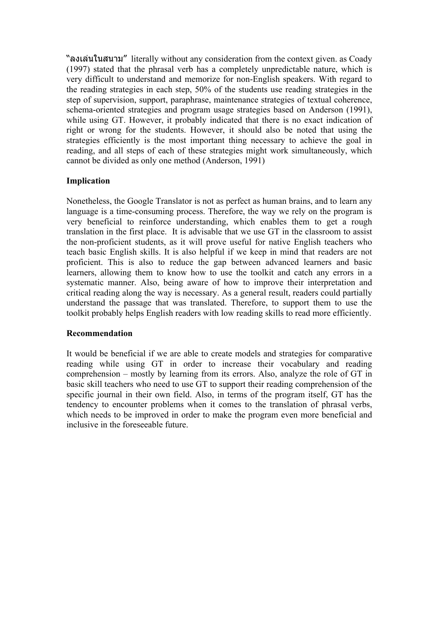"ลงเล่นในสนาม" literally without any consideration from the context given. as Coady (1997) stated that the phrasal verb has a completely unpredictable nature, which is very difficult to understand and memorize for non-English speakers. With regard to the reading strategies in each step, 50% of the students use reading strategies in the step of supervision, support, paraphrase, maintenance strategies of textual coherence, schema-oriented strategies and program usage strategies based on Anderson (1991), while using GT. However, it probably indicated that there is no exact indication of right or wrong for the students. However, it should also be noted that using the strategies efficiently is the most important thing necessary to achieve the goal in reading, and all steps of each of these strategies might work simultaneously, which cannot be divided as only one method (Anderson, 1991)

# **Implication**

Nonetheless, the Google Translator is not as perfect as human brains, and to learn any language is a time-consuming process. Therefore, the way we rely on the program is very beneficial to reinforce understanding, which enables them to get a rough translation in the first place. It is advisable that we use GT in the classroom to assist the non-proficient students, as it will prove useful for native English teachers who teach basic English skills. It is also helpful if we keep in mind that readers are not proficient. This is also to reduce the gap between advanced learners and basic learners, allowing them to know how to use the toolkit and catch any errors in a systematic manner. Also, being aware of how to improve their interpretation and critical reading along the way is necessary. As a general result, readers could partially understand the passage that was translated. Therefore, to support them to use the toolkit probably helps English readers with low reading skills to read more efficiently.

### **Recommendation**

It would be beneficial if we are able to create models and strategies for comparative reading while using GT in order to increase their vocabulary and reading comprehension – mostly by learning from its errors. Also, analyze the role of GT in basic skill teachers who need to use GT to support their reading comprehension of the specific journal in their own field. Also, in terms of the program itself, GT has the tendency to encounter problems when it comes to the translation of phrasal verbs, which needs to be improved in order to make the program even more beneficial and inclusive in the foreseeable future.